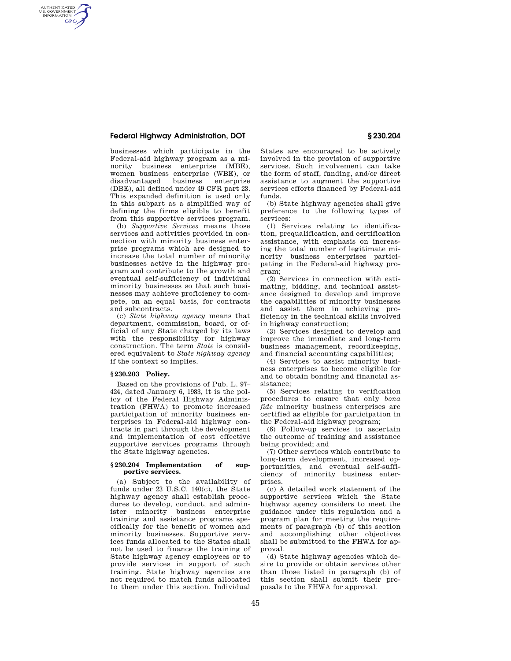# **Federal Highway Administration, DOT § 230.204**

AUTHENTICATED<br>U.S. GOVERNMENT<br>INFORMATION **GPO** 

> businesses which participate in the Federal-aid highway program as a minority business enterprise (MBE), women business enterprise (WBE), or<br>disadvantaged business enterprise disadvantaged (DBE), all defined under 49 CFR part 23. This expanded definition is used only in this subpart as a simplified way of defining the firms eligible to benefit from this supportive services program.

> (b) *Supportive Services* means those services and activities provided in connection with minority business enterprise programs which are designed to increase the total number of minority businesses active in the highway program and contribute to the growth and eventual self-sufficiency of individual minority businesses so that such businesses may achieve proficiency to compete, on an equal basis, for contracts and subcontracts.

> (c) *State highway agency* means that department, commission, board, or official of any State charged by its laws with the responsibility for highway construction. The term *State* is considered equivalent to *State highway agency*  if the context so implies.

## **§ 230.203 Policy.**

Based on the provisions of Pub. L. 97– 424, dated January 6, 1983, it is the policy of the Federal Highway Administration (FHWA) to promote increased participation of minority business enterprises in Federal-aid highway contracts in part through the development and implementation of cost effective supportive services programs through the State highway agencies.

### **§ 230.204 Implementation of supportive services.**

(a) Subject to the availability of funds under 23 U.S.C. 140(c), the State highway agency shall establish procedures to develop, conduct, and administer minority business enterprise training and assistance programs specifically for the benefit of women and minority businesses. Supportive services funds allocated to the States shall not be used to finance the training of State highway agency employees or to provide services in support of such training. State highway agencies are not required to match funds allocated to them under this section. Individual

States are encouraged to be actively involved in the provision of supportive services. Such involvement can take the form of staff, funding, and/or direct assistance to augment the supportive services efforts financed by Federal-aid funds.

(b) State highway agencies shall give preference to the following types of services:

(1) Services relating to identification, prequalification, and certification assistance, with emphasis on increasing the total number of legitimate minority business enterprises participating in the Federal-aid highway program;

(2) Services in connection with estimating, bidding, and technical assistance designed to develop and improve the capabilities of minority businesses and assist them in achieving proficiency in the technical skills involved in highway construction;

(3) Services designed to develop and improve the immediate and long-term business management, recordkeeping, and financial accounting capabilities;

(4) Services to assist minority business enterprises to become eligible for and to obtain bonding and financial assistance;

(5) Services relating to verification procedures to ensure that only *bona fide* minority business enterprises are certified as eligible for participation in the Federal-aid highway program;

(6) Follow-up services to ascertain the outcome of training and assistance being provided; and

(7) Other services which contribute to long-term development, increased opportunities, and eventual self-sufficiency of minority business enterprises.

(c) A detailed work statement of the supportive services which the State highway agency considers to meet the guidance under this regulation and a program plan for meeting the requirements of paragraph (b) of this section and accomplishing other objectives shall be submitted to the FHWA for approval.

(d) State highway agencies which desire to provide or obtain services other than those listed in paragraph (b) of this section shall submit their proposals to the FHWA for approval.